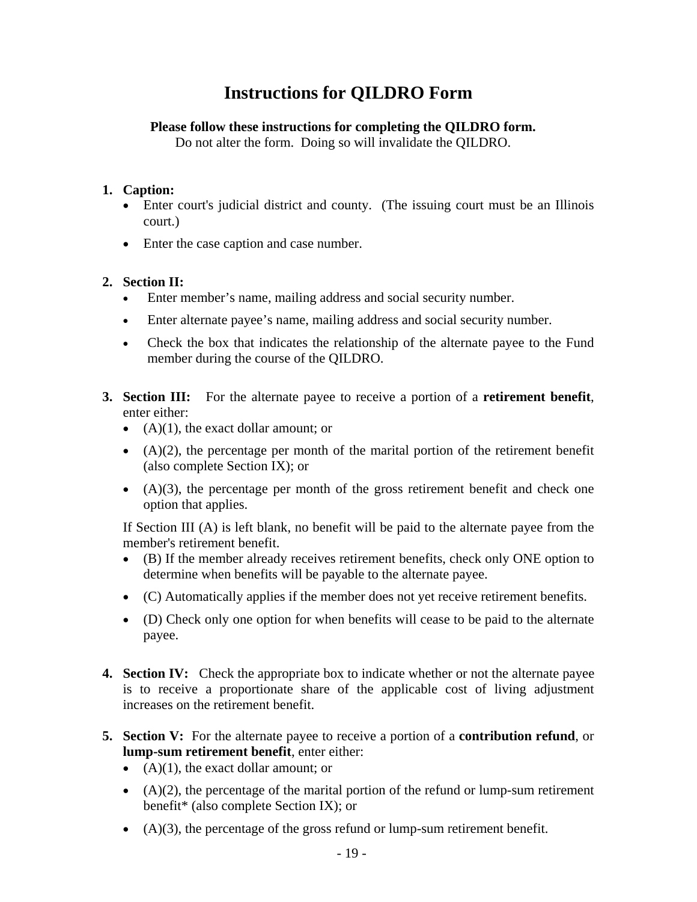# **Instructions for QILDRO Form**

#### **Please follow these instructions for completing the QILDRO form.**

Do not alter the form. Doing so will invalidate the QILDRO.

#### **1. Caption:**

- Enter court's judicial district and county. (The issuing court must be an Illinois court.)
- Enter the case caption and case number.

### **2. Section II:**

- Enter member's name, mailing address and social security number.
- Enter alternate payee's name, mailing address and social security number.
- Check the box that indicates the relationship of the alternate payee to the Fund member during the course of the QILDRO.
- **3. Section III:** For the alternate payee to receive a portion of a **retirement benefit**, enter either:
	- $(A)(1)$ , the exact dollar amount; or
	- $\bullet$  (A)(2), the percentage per month of the marital portion of the retirement benefit (also complete Section IX); or
	- $\bullet$   $(A)(3)$ , the percentage per month of the gross retirement benefit and check one option that applies.

If Section III (A) is left blank, no benefit will be paid to the alternate payee from the member's retirement benefit.

- (B) If the member already receives retirement benefits, check only ONE option to determine when benefits will be payable to the alternate payee.
- (C) Automatically applies if the member does not yet receive retirement benefits.
- (D) Check only one option for when benefits will cease to be paid to the alternate payee.
- **4. Section IV:** Check the appropriate box to indicate whether or not the alternate payee is to receive a proportionate share of the applicable cost of living adjustment increases on the retirement benefit.
- **5. Section V:** For the alternate payee to receive a portion of a **contribution refund**, or **lump-sum retirement benefit**, enter either:
	- $(A)(1)$ , the exact dollar amount; or
	- $\bullet$  (A)(2), the percentage of the marital portion of the refund or lump-sum retirement benefit\* (also complete Section IX); or
	- $(A)(3)$ , the percentage of the gross refund or lump-sum retirement benefit.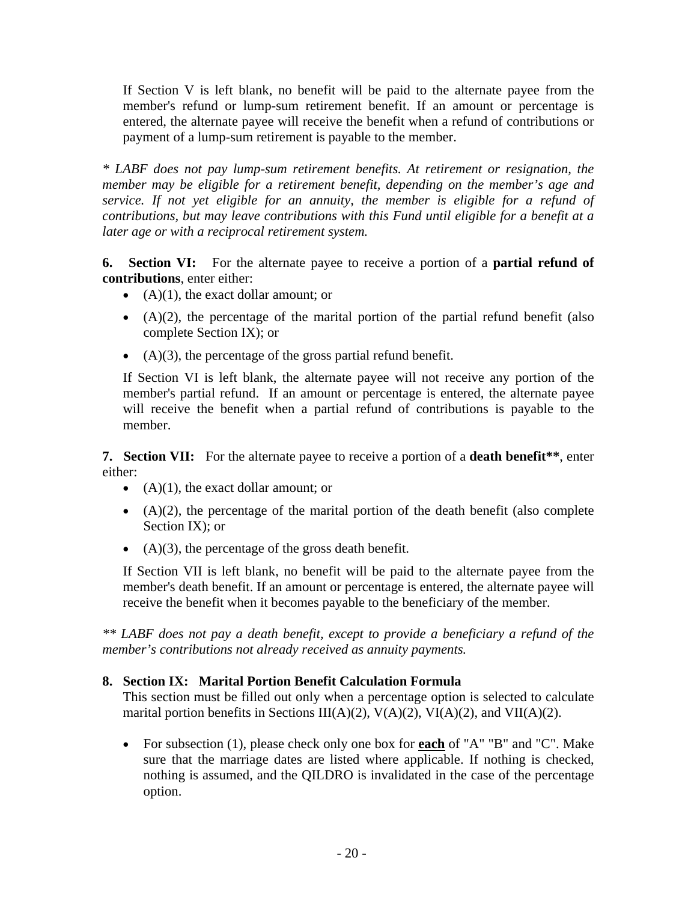If Section V is left blank, no benefit will be paid to the alternate payee from the member's refund or lump-sum retirement benefit. If an amount or percentage is entered, the alternate payee will receive the benefit when a refund of contributions or payment of a lump-sum retirement is payable to the member.

*\* LABF does not pay lump-sum retirement benefits. At retirement or resignation, the member may be eligible for a retirement benefit, depending on the member's age and service. If not yet eligible for an annuity, the member is eligible for a refund of contributions, but may leave contributions with this Fund until eligible for a benefit at a later age or with a reciprocal retirement system.* 

**6. Section VI:** For the alternate payee to receive a portion of a **partial refund of contributions**, enter either:

- $(A)(1)$ , the exact dollar amount; or
- $\bullet$  (A)(2), the percentage of the marital portion of the partial refund benefit (also complete Section IX); or
- $(A)(3)$ , the percentage of the gross partial refund benefit.

If Section VI is left blank, the alternate payee will not receive any portion of the member's partial refund. If an amount or percentage is entered, the alternate payee will receive the benefit when a partial refund of contributions is payable to the member.

**7. Section VII:** For the alternate payee to receive a portion of a **death benefit\*\***, enter either:

- $(A)(1)$ , the exact dollar amount; or
- $\bullet$  (A)(2), the percentage of the marital portion of the death benefit (also complete Section IX); or
- $(A)(3)$ , the percentage of the gross death benefit.

If Section VII is left blank, no benefit will be paid to the alternate payee from the member's death benefit. If an amount or percentage is entered, the alternate payee will receive the benefit when it becomes payable to the beneficiary of the member.

*\*\* LABF does not pay a death benefit, except to provide a beneficiary a refund of the member's contributions not already received as annuity payments.* 

## **8. Section IX: Marital Portion Benefit Calculation Formula**

This section must be filled out only when a percentage option is selected to calculate marital portion benefits in Sections III(A)(2), V(A)(2), VI(A)(2), and VII(A)(2).

• For subsection (1), please check only one box for **each** of "A" "B" and "C". Make sure that the marriage dates are listed where applicable. If nothing is checked, nothing is assumed, and the QILDRO is invalidated in the case of the percentage option.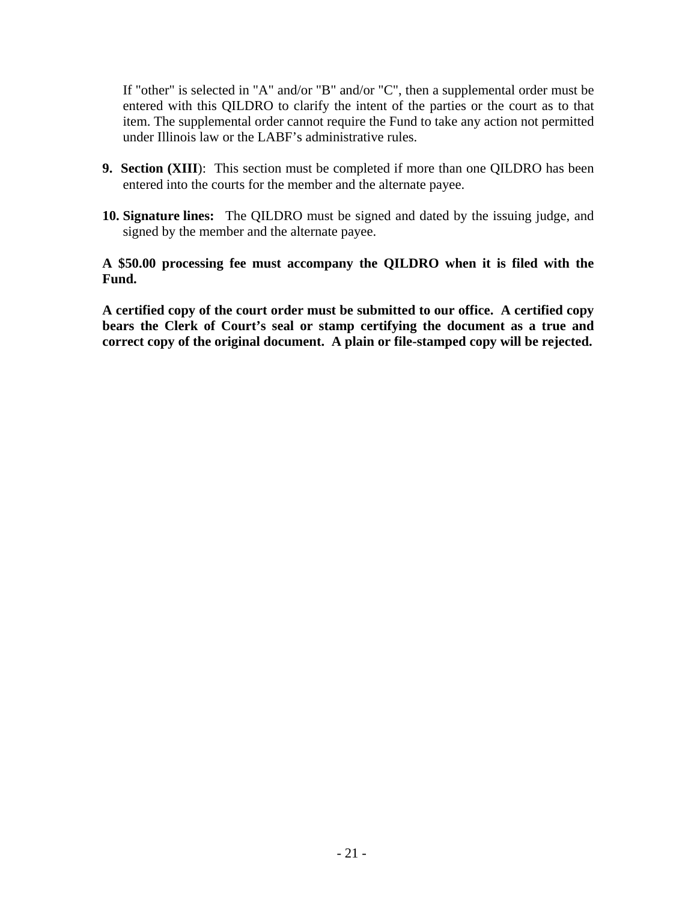If "other" is selected in "A" and/or "B" and/or "C", then a supplemental order must be entered with this QILDRO to clarify the intent of the parties or the court as to that item. The supplemental order cannot require the Fund to take any action not permitted under Illinois law or the LABF's administrative rules.

- **9. Section (XIII**): This section must be completed if more than one QILDRO has been entered into the courts for the member and the alternate payee.
- **10. Signature lines:** The QILDRO must be signed and dated by the issuing judge, and signed by the member and the alternate payee.

#### **A \$50.00 processing fee must accompany the QILDRO when it is filed with the Fund.**

**A certified copy of the court order must be submitted to our office. A certified copy bears the Clerk of Court's seal or stamp certifying the document as a true and correct copy of the original document. A plain or file-stamped copy will be rejected.**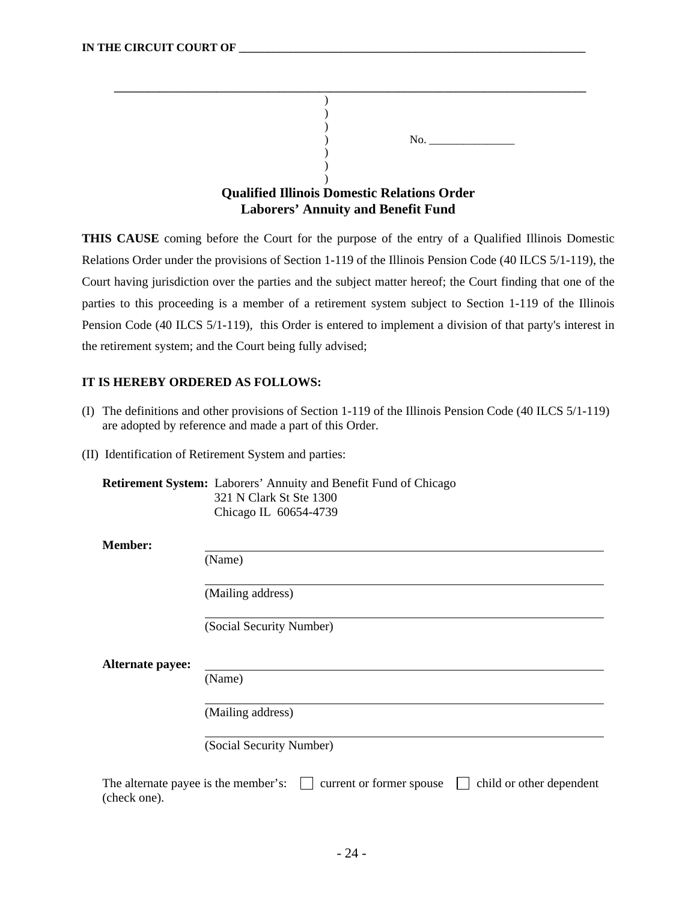|  | No.                                                |
|--|----------------------------------------------------|
|  |                                                    |
|  |                                                    |
|  |                                                    |
|  | <b>Qualified Illinois Domestic Relations Order</b> |
|  | <b>Laborers' Annuity and Benefit Fund</b>          |

**THIS CAUSE** coming before the Court for the purpose of the entry of a Qualified Illinois Domestic Relations Order under the provisions of Section 1-119 of the Illinois Pension Code (40 ILCS 5/1-119), the Court having jurisdiction over the parties and the subject matter hereof; the Court finding that one of the parties to this proceeding is a member of a retirement system subject to Section 1-119 of the Illinois Pension Code (40 ILCS 5/1-119), this Order is entered to implement a division of that party's interest in the retirement system; and the Court being fully advised;

#### **IT IS HEREBY ORDERED AS FOLLOWS:**

- (I) The definitions and other provisions of Section 1-119 of the Illinois Pension Code (40 ILCS 5/1-119) are adopted by reference and made a part of this Order.
- (II) Identification of Retirement System and parties:

**Retirement System:** Laborers' Annuity and Benefit Fund of Chicago 321 N Clark St Ste 1300 Chicago IL 60654-4739

**Member:** 

(Name)

(Mailing address)

(Social Security Number)

**Alternate payee:**

(Name)

(Mailing address)

(Social Security Number)

| The alternate payee is the member's: $\Box$ current or former spouse $\Box$ child or other dependent |  |
|------------------------------------------------------------------------------------------------------|--|
| (check one).                                                                                         |  |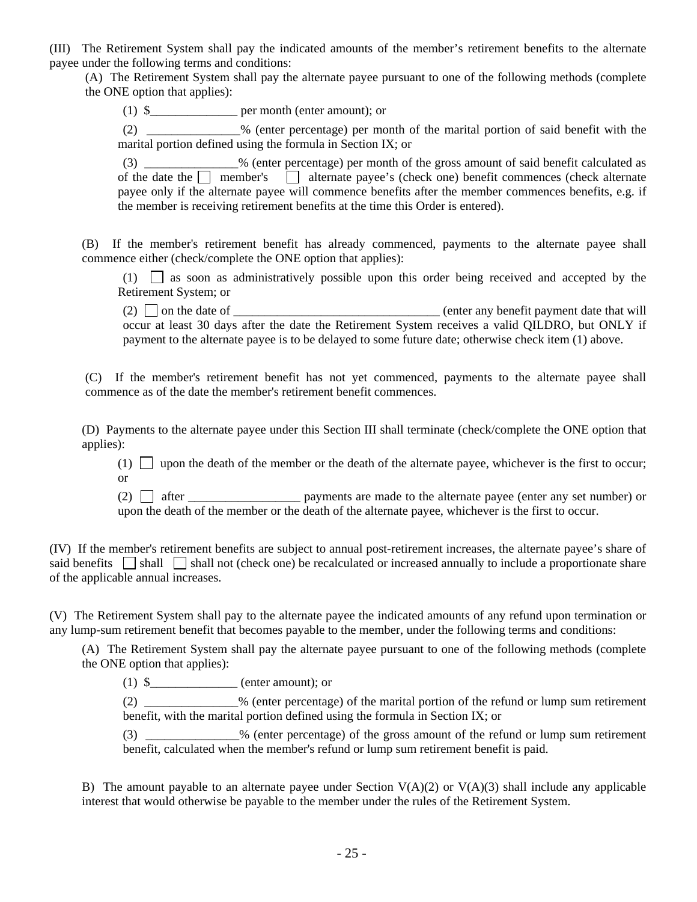(III) The Retirement System shall pay the indicated amounts of the member's retirement benefits to the alternate payee under the following terms and conditions:

 (A) The Retirement System shall pay the alternate payee pursuant to one of the following methods (complete the ONE option that applies):

(1) \$\_\_\_\_\_\_\_\_\_\_\_\_\_\_ per month (enter amount); or

 (2) \_\_\_\_\_\_\_\_\_\_\_\_\_\_\_% (enter percentage) per month of the marital portion of said benefit with the marital portion defined using the formula in Section IX; or

 (3) \_\_\_\_\_\_\_\_\_\_\_\_\_\_\_% (enter percentage) per month of the gross amount of said benefit calculated as of the date the  $\Box$  member's  $\Box$  alternate payee's (check one) benefit commences (check alternate payee only if the alternate payee will commence benefits after the member commences benefits, e.g. if the member is receiving retirement benefits at the time this Order is entered).

(B) If the member's retirement benefit has already commenced, payments to the alternate payee shall commence either (check/complete the ONE option that applies):

 $(1)$  as soon as administratively possible upon this order being received and accepted by the Retirement System; or

(2)  $\Box$  on the date of  $\Box$ occur at least 30 days after the date the Retirement System receives a valid QILDRO, but ONLY if payment to the alternate payee is to be delayed to some future date; otherwise check item (1) above.

 (C) If the member's retirement benefit has not yet commenced, payments to the alternate payee shall commence as of the date the member's retirement benefit commences.

(D) Payments to the alternate payee under this Section III shall terminate (check/complete the ONE option that applies):

 $(1)$  upon the death of the member or the death of the alternate payee, whichever is the first to occur; or

(2)  $\Box$  after payments are made to the alternate payee (enter any set number) or upon the death of the member or the death of the alternate payee, whichever is the first to occur.

(IV) If the member's retirement benefits are subject to annual post-retirement increases, the alternate payee's share of said benefits  $\Box$  shall  $\Box$  shall not (check one) be recalculated or increased annually to include a proportionate share of the applicable annual increases.

(V) The Retirement System shall pay to the alternate payee the indicated amounts of any refund upon termination or any lump-sum retirement benefit that becomes payable to the member, under the following terms and conditions:

(A) The Retirement System shall pay the alternate payee pursuant to one of the following methods (complete the ONE option that applies):

 $(1)$  \$\_\_\_\_\_\_\_\_\_\_\_\_\_\_ (enter amount); or

(2) \_\_\_\_\_\_\_\_\_\_\_\_\_\_\_% (enter percentage) of the marital portion of the refund or lump sum retirement benefit, with the marital portion defined using the formula in Section IX; or

(3)  $\%$  (enter percentage) of the gross amount of the refund or lump sum retirement benefit, calculated when the member's refund or lump sum retirement benefit is paid.

B) The amount payable to an alternate payee under Section  $V(A)(2)$  or  $V(A)(3)$  shall include any applicable interest that would otherwise be payable to the member under the rules of the Retirement System.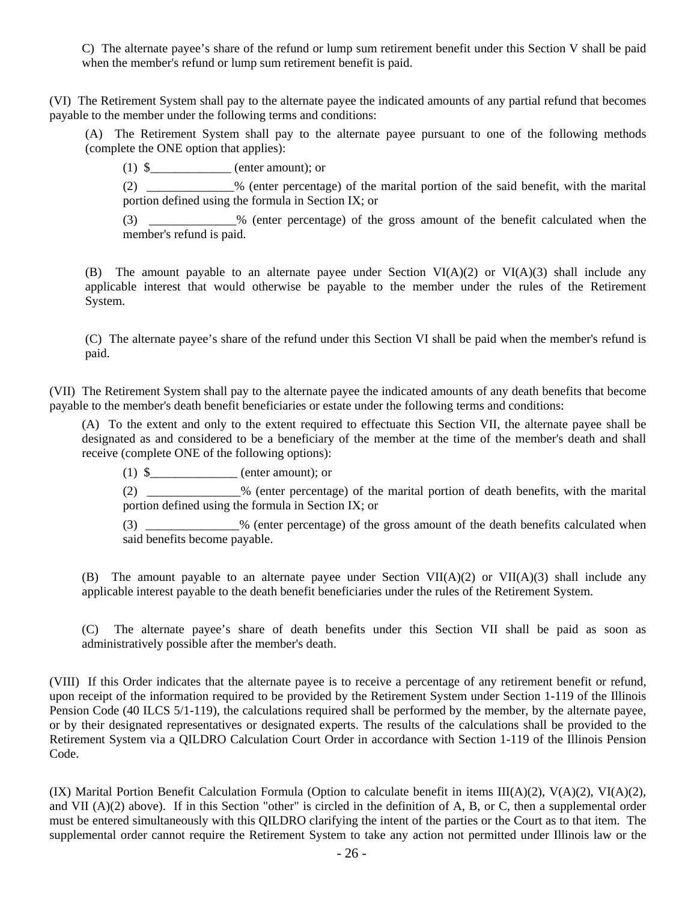C) The alternate payee's share of the refund or lump sum retirement benefit under this Section V shall be paid when the member's refund or lump sum retirement benefit is paid.

(VI) The Retirement System shall pay to the alternate payee the indicated amounts of any partial refund that becomes payable to the member under the following terms and conditions:

 (A) The Retirement System shall pay to the alternate payee pursuant to one of the following methods (complete the ONE option that applies):

 $(1)$  \$\_\_\_\_\_\_\_\_\_\_\_\_\_ (enter amount); or

(2) \_\_\_\_\_\_\_\_\_\_\_\_\_\_% (enter percentage) of the marital portion of the said benefit, with the marital portion defined using the formula in Section IX; or

(3) \_\_\_\_\_\_\_\_\_\_\_\_\_\_% (enter percentage) of the gross amount of the benefit calculated when the member's refund is paid.

(B) The amount payable to an alternate payee under Section  $VI(A)(2)$  or  $VI(A)(3)$  shall include any applicable interest that would otherwise be payable to the member under the rules of the Retirement System.

(C) The alternate payee's share of the refund under this Section VI shall be paid when the member's refund is paid.

(VII) The Retirement System shall pay to the alternate payee the indicated amounts of any death benefits that become payable to the member's death benefit beneficiaries or estate under the following terms and conditions:

(A) To the extent and only to the extent required to effectuate this Section VII, the alternate payee shall be designated as and considered to be a beneficiary of the member at the time of the member's death and shall receive (complete ONE of the following options):

(1) \$\_\_\_\_\_\_\_\_\_\_\_\_\_\_ (enter amount); or

(2) \_\_\_\_\_\_\_\_\_\_\_\_\_\_\_% (enter percentage) of the marital portion of death benefits, with the marital portion defined using the formula in Section IX; or

(3)  $\%$  (enter percentage) of the gross amount of the death benefits calculated when said benefits become payable.

(B) The amount payable to an alternate payee under Section  $VII(A)(2)$  or  $VII(A)(3)$  shall include any applicable interest payable to the death benefit beneficiaries under the rules of the Retirement System.

(C) The alternate payee's share of death benefits under this Section VII shall be paid as soon as administratively possible after the member's death.

(VIII) If this Order indicates that the alternate payee is to receive a percentage of any retirement benefit or refund, upon receipt of the information required to be provided by the Retirement System under Section 1-119 of the Illinois Pension Code (40 ILCS 5/1-119), the calculations required shall be performed by the member, by the alternate payee, or by their designated representatives or designated experts. The results of the calculations shall be provided to the Retirement System via a QILDRO Calculation Court Order in accordance with Section 1-119 of the Illinois Pension Code.

(IX) Marital Portion Benefit Calculation Formula (Option to calculate benefit in items III(A)(2), V(A)(2), VI(A)(2), and VII (A)(2) above). If in this Section "other" is circled in the definition of A, B, or C, then a supplemental order must be entered simultaneously with this QILDRO clarifying the intent of the parties or the Court as to that item. The supplemental order cannot require the Retirement System to take any action not permitted under Illinois law or the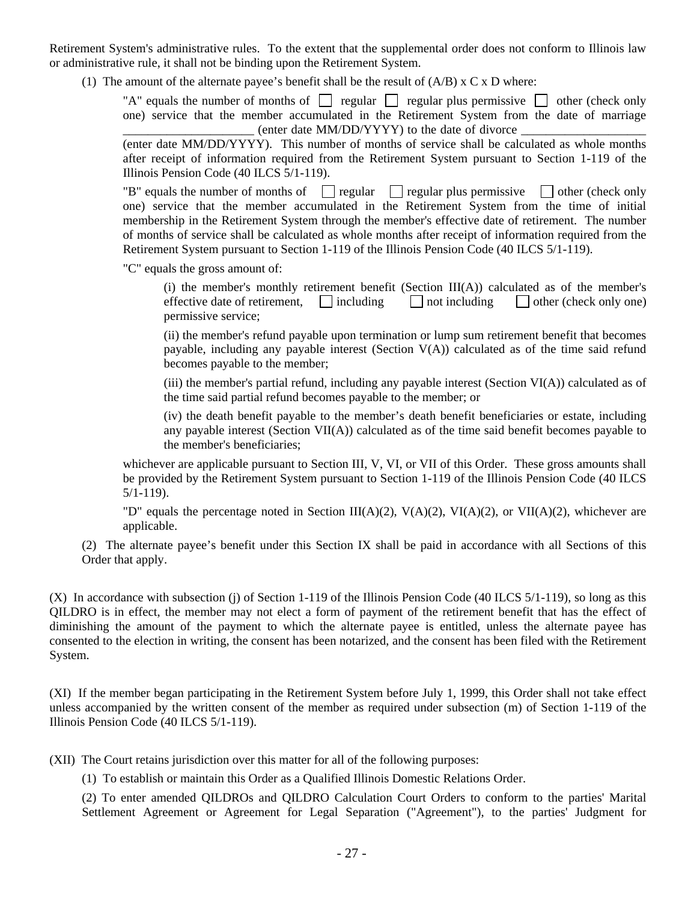Retirement System's administrative rules. To the extent that the supplemental order does not conform to Illinois law or administrative rule, it shall not be binding upon the Retirement System.

(1) The amount of the alternate payee's benefit shall be the result of  $(A/B) \times C \times D$  where:

"A" equals the number of months of  $\Box$  regular  $\Box$  regular plus permissive  $\Box$  other (check only one) service that the member accumulated in the Retirement System from the date of marriage  $\phi$  (enter date MM/DD/YYYY) to the date of divorce

(enter date MM/DD/YYYY). This number of months of service shall be calculated as whole months after receipt of information required from the Retirement System pursuant to Section 1-119 of the Illinois Pension Code (40 ILCS 5/1-119).

"B" equals the number of months of  $\Box$  regular  $\Box$  regular plus permissive  $\Box$  other (check only one) service that the member accumulated in the Retirement System from the time of initial membership in the Retirement System through the member's effective date of retirement. The number of months of service shall be calculated as whole months after receipt of information required from the Retirement System pursuant to Section 1-119 of the Illinois Pension Code (40 ILCS 5/1-119).

"C" equals the gross amount of:

(i) the member's monthly retirement benefit (Section  $III(A)$ ) calculated as of the member's effective date of retirement,  $\Box$  including  $\Box$  not including  $\Box$  other (check only one) permissive service;

(ii) the member's refund payable upon termination or lump sum retirement benefit that becomes payable, including any payable interest (Section  $V(A)$ ) calculated as of the time said refund becomes payable to the member;

 $(iii)$  the member's partial refund, including any payable interest (Section  $VI(A)$ ) calculated as of the time said partial refund becomes payable to the member; or

(iv) the death benefit payable to the member's death benefit beneficiaries or estate, including any payable interest (Section VII(A)) calculated as of the time said benefit becomes payable to the member's beneficiaries;

whichever are applicable pursuant to Section III, V, VI, or VII of this Order. These gross amounts shall be provided by the Retirement System pursuant to Section 1-119 of the Illinois Pension Code (40 ILCS 5/1-119).

"D" equals the percentage noted in Section III(A)(2), V(A)(2), VI(A)(2), or VII(A)(2), whichever are applicable.

(2) The alternate payee's benefit under this Section IX shall be paid in accordance with all Sections of this Order that apply.

(X) In accordance with subsection (j) of Section 1-119 of the Illinois Pension Code (40 ILCS 5/1-119), so long as this QILDRO is in effect, the member may not elect a form of payment of the retirement benefit that has the effect of diminishing the amount of the payment to which the alternate payee is entitled, unless the alternate payee has consented to the election in writing, the consent has been notarized, and the consent has been filed with the Retirement System.

(XI) If the member began participating in the Retirement System before July 1, 1999, this Order shall not take effect unless accompanied by the written consent of the member as required under subsection (m) of Section 1-119 of the Illinois Pension Code (40 ILCS 5/1-119).

(XII) The Court retains jurisdiction over this matter for all of the following purposes:

(1) To establish or maintain this Order as a Qualified Illinois Domestic Relations Order.

(2) To enter amended QILDROs and QILDRO Calculation Court Orders to conform to the parties' Marital Settlement Agreement or Agreement for Legal Separation ("Agreement"), to the parties' Judgment for